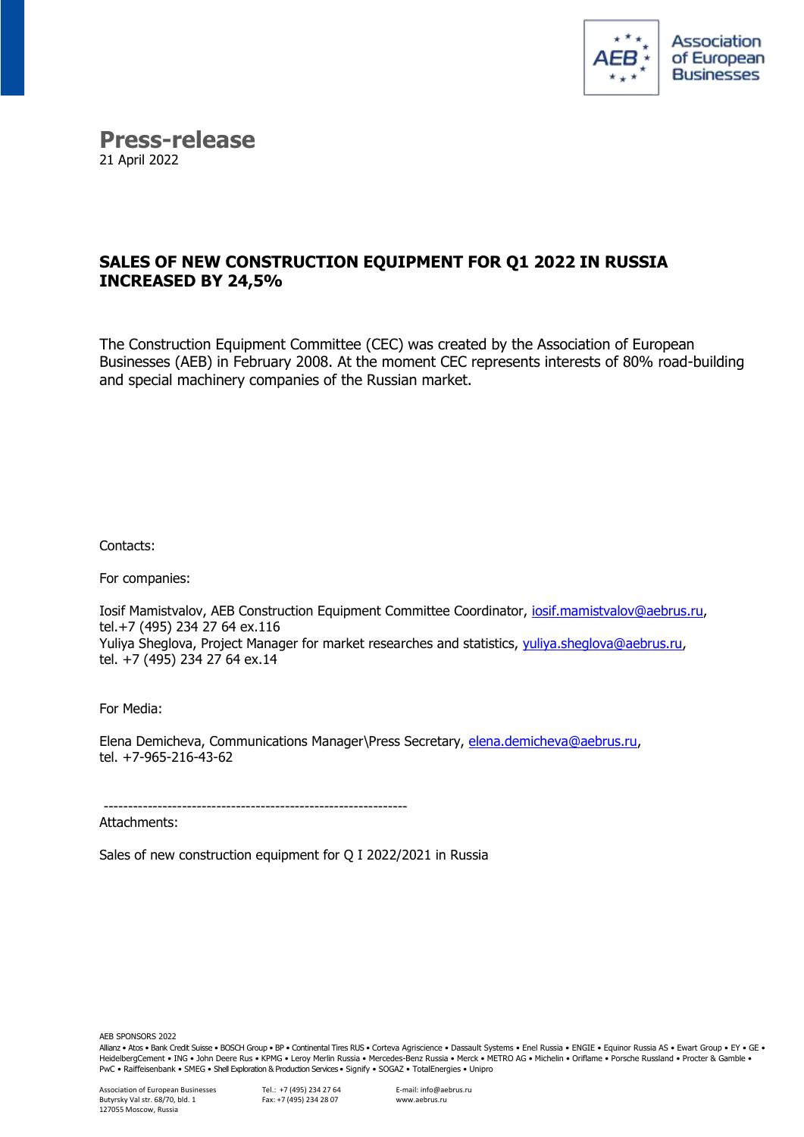

## **Press-release** 21 April 2022

## **SALES OF NEW CONSTRUCTION EQUIPMENT FOR Q1 2022 IN RUSSIA INCREASED BY 24,5%**

The Construction Equipment Committee (CEC) was created by the Association of European Businesses (AEB) in February 2008. At the moment CEC represents interests of 80% road-building and special machinery companies of the Russian market.

Contacts:

For companies:

Iosif Mamistvalov, AEB Construction Equipment Committee Coordinator, [iosif.mamistvalov@aebrus.ru,](mailto:iosif.mamistvalov@aebrus.ru) tel.+7 (495) 234 27 64 ex.116 Yuliya Sheglova, Project Manager for market researches and statistics, [yuliya.sheglova@aebrus.ru,](mailto:yuliya.sheglova@aebrus.ru) tel. +7 (495) 234 27 64 ex.14

For Media:

Elena Demicheva, Communications Manager\Press Secretary, [elena.demicheva@aebrus.ru,](mailto:elena.demicheva@aebrus.ru) tel. +7-965-216-43-62

-------------------------------------------------------------- Attachments:

Sales of new construction equipment for Q I 2022/2021 in Russia

AEB SPONSORS 2022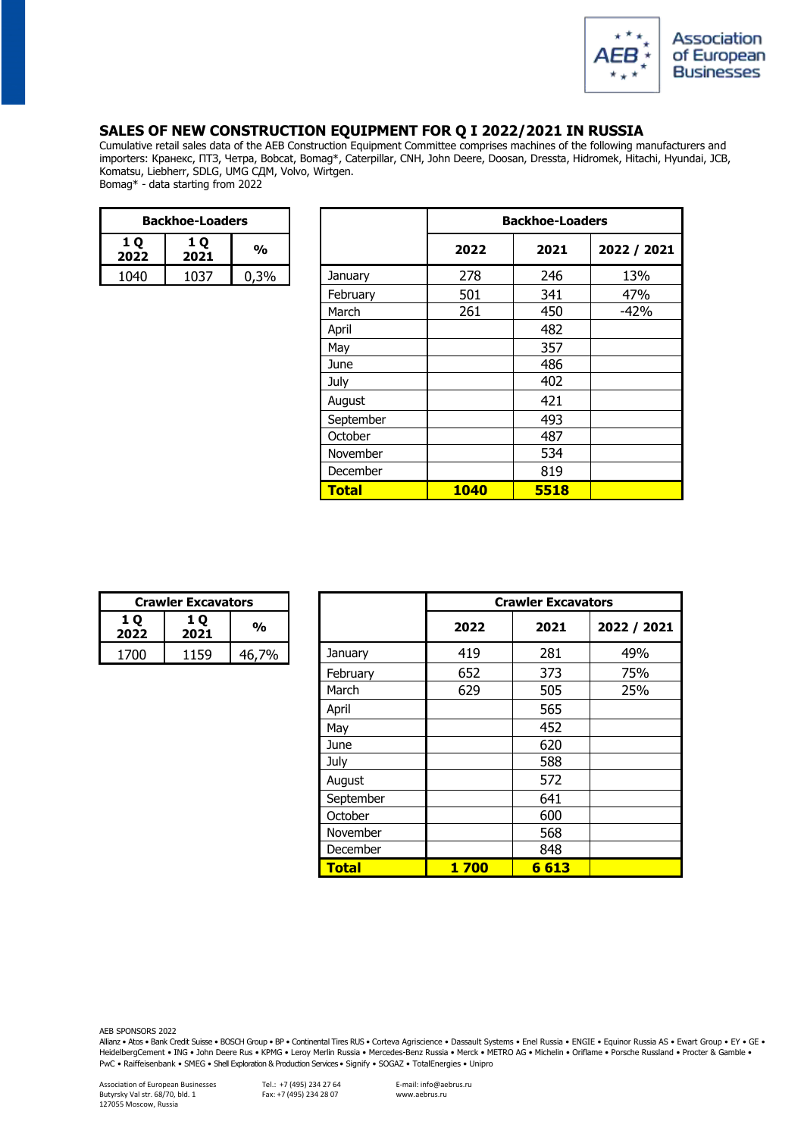

## **SALES OF NEW CONSTRUCTION EQUIPMENT FOR Q I 2022/2021 IN RUSSIA**

Cumulative retail sales data of the AEB Construction Equipment Committee comprises machines of the following manufacturers and importers: Кранекс, ПТЗ, Четра, Bobcat, Bomag\*, Caterpillar, CNH, John Deere, Doosan, Dressta, Hidromek, Hitachi, Hyundai, JCB, Komatsu, Liebherr, SDLG, UMG СДМ, Volvo, Wirtgen. Bomag\* - data starting from 2022

| <b>Backhoe-Loaders</b>                |      |      |  |  |
|---------------------------------------|------|------|--|--|
| <b>10</b><br>1 O<br>%<br>2022<br>2021 |      |      |  |  |
| 1040                                  | 1037 | በ 3% |  |  |

| <b>Backhoe-Loaders</b> |             |               |              |             | <b>Backhoe-Loaders</b> |             |  |
|------------------------|-------------|---------------|--------------|-------------|------------------------|-------------|--|
| <b>1Q</b><br>2022      | 1 Q<br>2021 | $\frac{1}{2}$ |              | 2022        | 2021                   | 2022 / 2021 |  |
| 1040                   | 1037        | 0,3%          | January      | 278         | 246                    | 13%         |  |
|                        |             |               | February     | 501         | 341                    | 47%         |  |
|                        |             |               | March        | 261         | 450                    | $-42%$      |  |
|                        |             |               | April        |             | 482                    |             |  |
|                        |             |               | May          |             | 357                    |             |  |
|                        |             |               | June         |             | 486                    |             |  |
|                        |             |               | July         |             | 402                    |             |  |
|                        |             |               | August       |             | 421                    |             |  |
|                        |             |               | September    |             | 493                    |             |  |
|                        |             |               | October      |             | 487                    |             |  |
|                        |             |               | November     |             | 534                    |             |  |
|                        |             |               | December     |             | 819                    |             |  |
|                        |             |               | <b>Total</b> | <b>1040</b> | 5518                   |             |  |

| <b>Crawler Excavators</b> |      |                |  |  |
|---------------------------|------|----------------|--|--|
| 1 O<br>2022               | %    |                |  |  |
|                           | 1159 | $\frac{10}{6}$ |  |  |

|                   | <b>Crawler Excavators</b> |               |              | <b>Crawler Excavators</b> |      |             |
|-------------------|---------------------------|---------------|--------------|---------------------------|------|-------------|
| <b>1Q</b><br>2022 | 1 Q<br>2021               | $\frac{0}{0}$ |              | 2022                      | 2021 | 2022 / 2021 |
| 1700              | 1159                      | 46,7%         | January      | 419                       | 281  | 49%         |
|                   |                           |               | February     | 652                       | 373  | 75%         |
|                   |                           |               | March        | 629                       | 505  | 25%         |
|                   |                           |               | April        |                           | 565  |             |
|                   |                           |               | May          |                           | 452  |             |
|                   |                           |               | June         |                           | 620  |             |
|                   |                           |               | July         |                           | 588  |             |
|                   |                           |               | August       |                           | 572  |             |
|                   |                           |               | September    |                           | 641  |             |
|                   |                           |               | October      |                           | 600  |             |
|                   |                           |               | November     |                           | 568  |             |
|                   |                           |               | December     |                           | 848  |             |
|                   |                           |               | <b>Total</b> | <b>1700</b>               | 6613 |             |

AEB SPONSORS 2022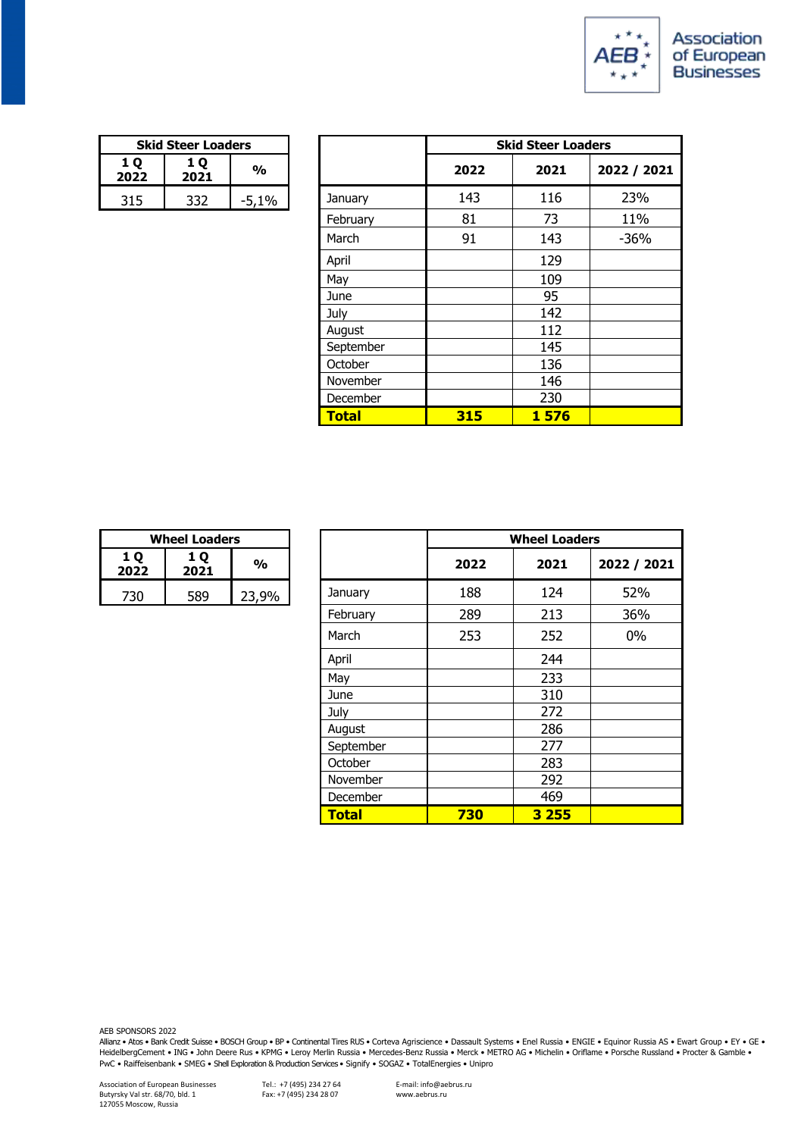

| <b>Skid Steer Loaders</b> |     |         |  |
|---------------------------|-----|---------|--|
| 1 O<br>2022               | %   |         |  |
| 315                       | 332 | $-5,1%$ |  |

|            | <b>Skid Steer Loaders</b> |               |              |      | <b>Skid Steer Loaders</b> |             |
|------------|---------------------------|---------------|--------------|------|---------------------------|-------------|
| 1Q<br>2022 | 1 Q<br>2021               | $\frac{1}{2}$ |              | 2022 | 2021                      | 2022 / 2021 |
| 315        | 332                       | $-5,1%$       | January      | 143  | 116                       | 23%         |
|            |                           |               | February     | 81   | 73                        | 11%         |
|            |                           |               | March        | 91   | 143                       | $-36%$      |
|            |                           |               | April        |      | 129                       |             |
|            |                           |               | May          |      | 109                       |             |
|            |                           |               | June         |      | 95                        |             |
|            |                           |               | July         |      | 142                       |             |
|            |                           |               | August       |      | 112                       |             |
|            |                           |               | September    |      | 145                       |             |
|            |                           |               | October      |      | 136                       |             |
|            |                           |               | November     |      | 146                       |             |
|            |                           |               | December     |      | 230                       |             |
|            |                           |               | <b>Total</b> | 315  | 1576                      |             |

| <b>Wheel Loaders</b> |     |       |  |  |
|----------------------|-----|-------|--|--|
| <b>10</b><br>2022    | %   |       |  |  |
| 730                  | 589 | 23.9% |  |  |

|            | <b>Wheel Loaders</b> |               |              |      | <b>Wheel Loaders</b> |             |  |
|------------|----------------------|---------------|--------------|------|----------------------|-------------|--|
| 1Q<br>2022 | 1 Q<br>2021          | $\frac{1}{2}$ |              | 2022 | 2021                 | 2022 / 2021 |  |
| 730        | 589                  | 23,9%         | January      | 188  | 124                  | 52%         |  |
|            |                      |               | February     | 289  | 213                  | 36%         |  |
|            |                      |               | March        | 253  | 252                  | $0\%$       |  |
|            |                      |               | April        |      | 244                  |             |  |
|            |                      |               | May          |      | 233                  |             |  |
|            |                      |               | June         |      | 310                  |             |  |
|            |                      |               | July         |      | 272                  |             |  |
|            |                      |               | August       |      | 286                  |             |  |
|            |                      |               | September    |      | 277                  |             |  |
|            |                      |               | October      |      | 283                  |             |  |
|            |                      |               | November     |      | 292                  |             |  |
|            |                      |               | December     |      | 469                  |             |  |
|            |                      |               | <b>Total</b> | 730  | 3 2 5 5              |             |  |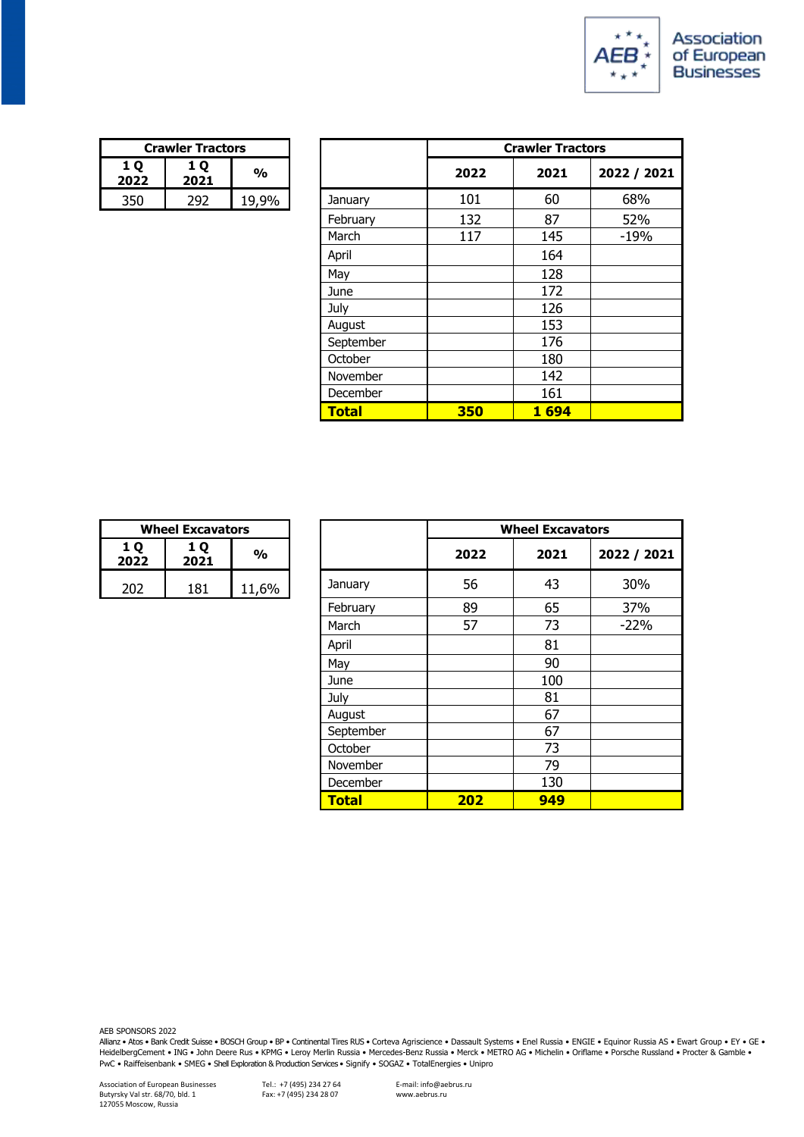

| <b>Crawler Tractors</b>               |  |       |  |
|---------------------------------------|--|-------|--|
| <b>10</b><br>1 O<br>%<br>2022<br>2021 |  |       |  |
| 350                                   |  | 19.9% |  |

|            | <b>Crawler Tractors</b> |               |              | <b>Crawler Tractors</b> |      |             |
|------------|-------------------------|---------------|--------------|-------------------------|------|-------------|
| 1Q<br>2022 | 1 Q<br>2021             | $\frac{1}{2}$ |              | 2022                    | 2021 | 2022 / 2021 |
| 350        | 292                     | 19,9%         | January      | 101                     | 60   | 68%         |
|            |                         |               | February     | 132                     | 87   | 52%         |
|            |                         |               | March        | 117                     | 145  | $-19%$      |
|            |                         |               | April        |                         | 164  |             |
|            |                         |               | May          |                         | 128  |             |
|            |                         |               | June         |                         | 172  |             |
|            |                         |               | July         |                         | 126  |             |
|            |                         |               | August       |                         | 153  |             |
|            |                         |               | September    |                         | 176  |             |
|            |                         |               | October      |                         | 180  |             |
|            |                         |               | November     |                         | 142  |             |
|            |                         |               | December     |                         | 161  |             |
|            |                         |               | <b>Total</b> | 350                     | 1694 |             |

| <b>Wheel Excavators</b> |     |       |  |  |
|-------------------------|-----|-------|--|--|
| <b>10</b><br>2022       | %   |       |  |  |
| 202                     | 181 | 11,6% |  |  |

|             | <b>Wheel Excavators</b> |               |              | <b>Wheel Excavators</b> |      |             |
|-------------|-------------------------|---------------|--------------|-------------------------|------|-------------|
| 1 Q<br>2022 | 1 Q<br>2021             | $\frac{1}{2}$ |              | 2022                    | 2021 | 2022 / 2021 |
| 202         | 181                     | 11,6%         | January      | 56                      | 43   | 30%         |
|             |                         |               | February     | 89                      | 65   | 37%         |
|             |                         |               | March        | 57                      | 73   | $-22%$      |
|             |                         |               | April        |                         | 81   |             |
|             |                         |               | May          |                         | 90   |             |
|             |                         |               | June         |                         | 100  |             |
|             |                         |               | July         |                         | 81   |             |
|             |                         |               | August       |                         | 67   |             |
|             |                         |               | September    |                         | 67   |             |
|             |                         |               | October      |                         | 73   |             |
|             |                         |               | November     |                         | 79   |             |
|             |                         |               | December     |                         | 130  |             |
|             |                         |               | <b>Total</b> | 202                     | 949  |             |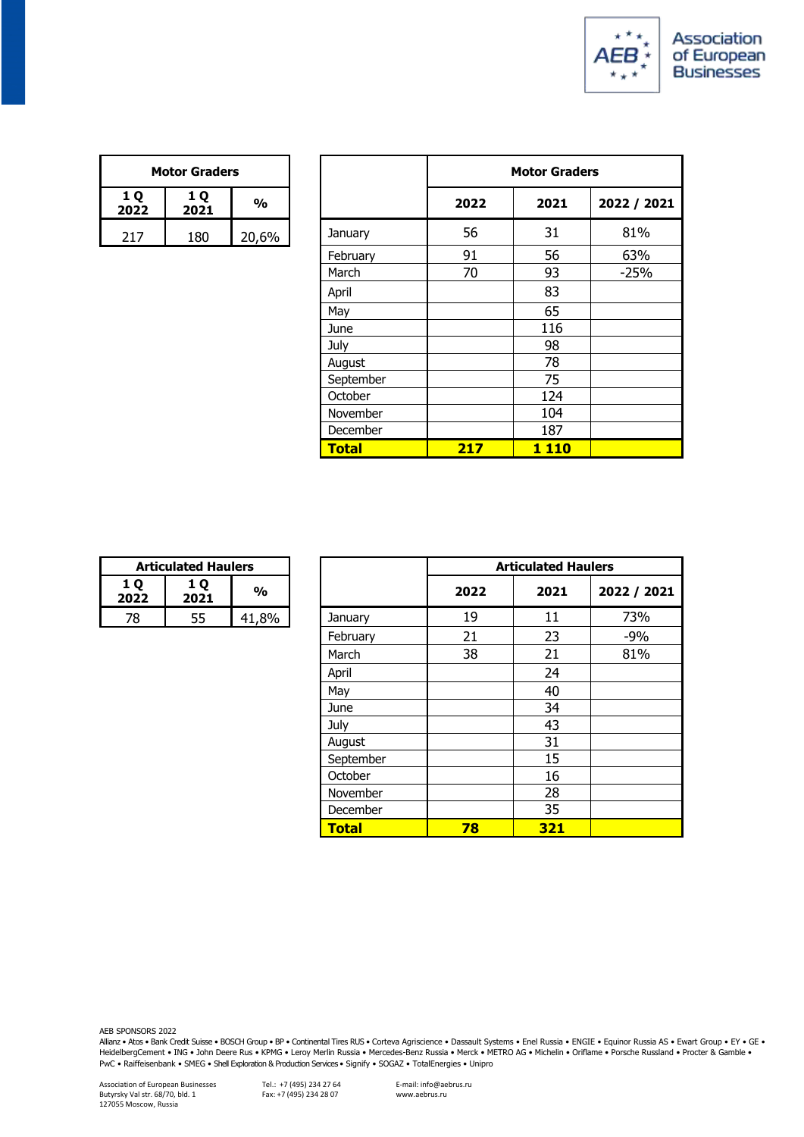

| <b>Motor Graders</b> |     |       |  |  |
|----------------------|-----|-------|--|--|
| 1 O<br>2022          | %   |       |  |  |
| 217                  | 180 | 20,6% |  |  |

| <b>Motor Graders</b> |             |               |              |      | <b>Motor Graders</b> |             |
|----------------------|-------------|---------------|--------------|------|----------------------|-------------|
| 1Q<br>2022           | 1 Q<br>2021 | $\frac{1}{2}$ |              | 2022 | 2021                 | 2022 / 2021 |
| 217                  | 180         | 20,6%         | January      | 56   | 31                   | 81%         |
|                      |             |               | February     | 91   | 56                   | 63%         |
|                      |             |               | March        | 70   | 93                   | $-25%$      |
|                      |             |               | April        |      | 83                   |             |
|                      |             |               | May          |      | 65                   |             |
|                      |             |               | June         |      | 116                  |             |
|                      |             |               | July         |      | 98                   |             |
|                      |             |               | August       |      | 78                   |             |
|                      |             |               | September    |      | 75                   |             |
|                      |             |               | October      |      | 124                  |             |
|                      |             |               | November     |      | 104                  |             |
|                      |             |               | December     |      | 187                  |             |
|                      |             |               | <b>Total</b> | 217  | <b>1110</b>          |             |

| <b>Articulated Haulers</b> |    |               |  |
|----------------------------|----|---------------|--|
| 1 O<br>1 O<br>2021<br>2022 |    | $\frac{0}{0}$ |  |
| 78                         | 55 | 41,8%         |  |

| <b>Articulated Haulers</b> |             |       |              |      | <b>Articulated Haulers</b> |             |  |
|----------------------------|-------------|-------|--------------|------|----------------------------|-------------|--|
| LQ<br>022                  | 1 Q<br>2021 | %     |              | 2022 | 2021                       | 2022 / 2021 |  |
| 78                         | 55          | 41,8% | January      | 19   | 11                         | 73%         |  |
|                            |             |       | February     | 21   | 23                         | $-9%$       |  |
|                            |             |       | March        | 38   | 21                         | 81%         |  |
|                            |             |       | April        |      | 24                         |             |  |
|                            |             |       | May          |      | 40                         |             |  |
|                            |             |       | June         |      | 34                         |             |  |
|                            |             |       | July         |      | 43                         |             |  |
|                            |             |       | August       |      | 31                         |             |  |
|                            |             |       | September    |      | 15                         |             |  |
|                            |             |       | October      |      | 16                         |             |  |
|                            |             |       | November     |      | 28                         |             |  |
|                            |             |       | December     |      | 35                         |             |  |
|                            |             |       | <b>Total</b> | 78   | 321                        |             |  |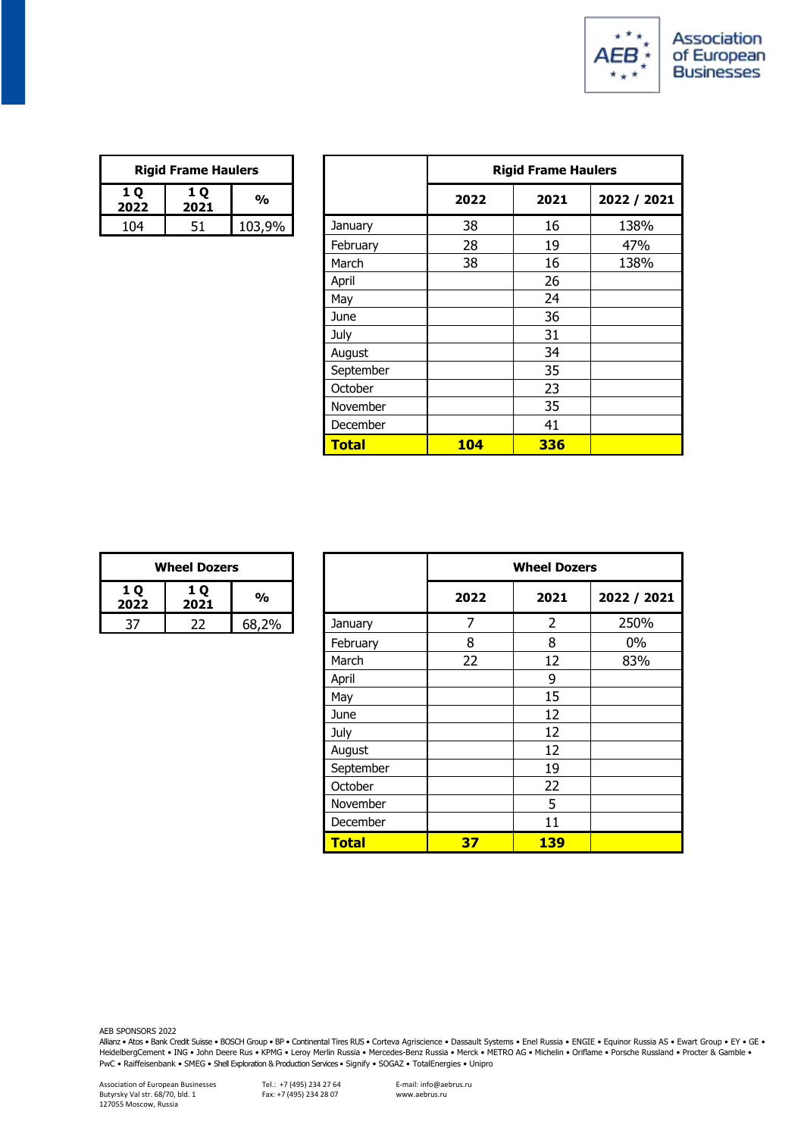

| <b>Rigid Frame Haulers</b> |    |        |  |
|----------------------------|----|--------|--|
| 1 O<br>2022                | %  |        |  |
| 104                        | 51 | 103.9% |  |

|            | <b>Rigid Frame Haulers</b> |               |              | <b>Rigid Frame Haulers</b> |      |             |
|------------|----------------------------|---------------|--------------|----------------------------|------|-------------|
| 1Q<br>2022 | 1 Q<br>2021                | $\frac{1}{2}$ |              | 2022                       | 2021 | 2022 / 2021 |
| 104        | 51                         | 103,9%        | January      | 38                         | 16   | 138%        |
|            |                            |               | February     | 28                         | 19   | 47%         |
|            |                            |               | March        | 38                         | 16   | 138%        |
|            |                            |               | April        |                            | 26   |             |
|            |                            |               | May          |                            | 24   |             |
|            |                            |               | June         |                            | 36   |             |
|            |                            |               | July         |                            | 31   |             |
|            |                            |               | August       |                            | 34   |             |
|            |                            |               | September    |                            | 35   |             |
|            |                            |               | October      |                            | 23   |             |
|            |                            |               | November     |                            | 35   |             |
|            |                            |               | December     |                            | 41   |             |
|            |                            |               | <b>Total</b> | <b>104</b>                 | 336  |             |

| <b>Wheel Dozers</b> |    |       |  |  |
|---------------------|----|-------|--|--|
| <b>10</b><br>2022   | %  |       |  |  |
|                     | 22 | 68,2% |  |  |

| <b>Wheel Dozers</b> |             |               |              | <b>Wheel Dozers</b> |            |             |
|---------------------|-------------|---------------|--------------|---------------------|------------|-------------|
| LQ<br>022           | 1 Q<br>2021 | $\frac{1}{2}$ |              | 2022                | 2021       | 2022 / 2021 |
| 37                  | 22          | 68,2%         | January      | $\overline{7}$      | 2          | 250%        |
|                     |             |               | February     | 8                   | 8          | 0%          |
|                     |             |               | March        | 22                  | 12         | 83%         |
|                     |             |               | April        |                     | 9          |             |
|                     |             |               | May          |                     | 15         |             |
|                     |             |               | June         |                     | 12         |             |
|                     |             |               | July         |                     | 12         |             |
|                     |             |               | August       |                     | 12         |             |
|                     |             |               | September    |                     | 19         |             |
|                     |             |               | October      |                     | 22         |             |
|                     |             |               | November     |                     | 5          |             |
|                     |             |               | December     |                     | 11         |             |
|                     |             |               | <b>Total</b> | 37                  | <b>139</b> |             |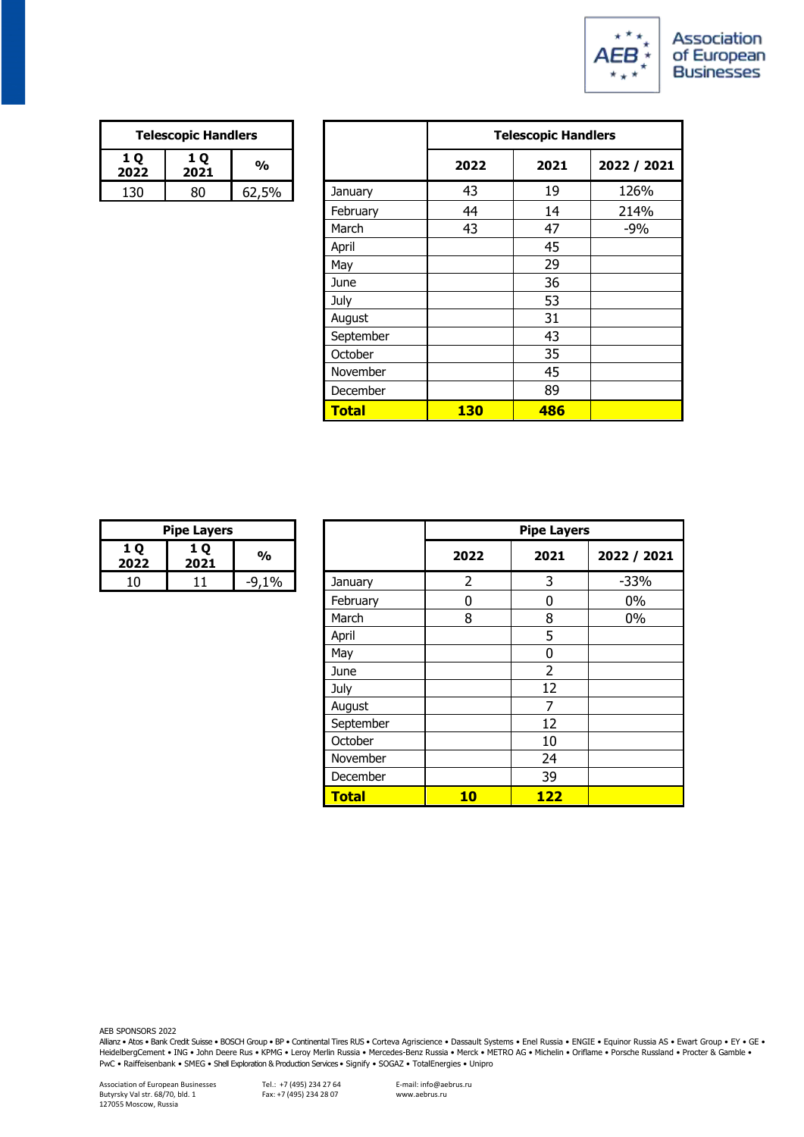

| <b>Telescopic Handlers</b>             |    |       |  |
|----------------------------------------|----|-------|--|
| <b>10</b><br><b>10</b><br>2021<br>2022 |    | %     |  |
| 130                                    | 80 | 62,5% |  |

|             | <b>Telescopic Handlers</b> |               |                 | <b>Telescopic Handlers</b> |      |             |
|-------------|----------------------------|---------------|-----------------|----------------------------|------|-------------|
| 1 Q<br>2022 | 1 Q<br>2021                | $\frac{1}{2}$ |                 | 2022                       | 2021 | 2022 / 2021 |
| 130         | 80                         | 62,5%         | January         | 43                         | 19   | 126%        |
|             |                            |               | February        | 44                         | 14   | 214%        |
|             |                            |               | March           | 43                         | 47   | $-9%$       |
|             |                            |               | April           |                            | 45   |             |
|             |                            |               | May             |                            | 29   |             |
|             |                            |               | June            |                            | 36   |             |
|             |                            |               | July            |                            | 53   |             |
|             |                            |               | August          |                            | 31   |             |
|             |                            |               | September       |                            | 43   |             |
|             |                            |               | October         |                            | 35   |             |
|             |                            |               | November        |                            | 45   |             |
|             |                            |               | <b>December</b> |                            | 89   |             |
|             |                            |               | <b>Total</b>    | <b>130</b>                 | 486  |             |

| <b>Pipe Layers</b>         |  |               |  |  |
|----------------------------|--|---------------|--|--|
| 1 O<br>1 O<br>2021<br>2022 |  | $\frac{0}{0}$ |  |  |
|                            |  |               |  |  |

|           | <b>Pipe Layers</b> |               |              | <b>Pipe Layers</b> |                |             |
|-----------|--------------------|---------------|--------------|--------------------|----------------|-------------|
| LQ<br>022 | 1 Q<br>2021        | $\frac{1}{2}$ |              | 2022               | 2021           | 2022 / 2021 |
| 10        | 11                 | $-9,1%$       | January      | 2                  | 3              | $-33%$      |
|           |                    |               | February     | 0                  | $\mathbf 0$    | 0%          |
|           |                    |               | March        | 8                  | 8              | $0\%$       |
|           |                    |               | April        |                    | 5              |             |
|           |                    |               | May          |                    | 0              |             |
|           |                    |               | June         |                    | $\overline{2}$ |             |
|           |                    |               | July         |                    | 12             |             |
|           |                    |               | August       |                    | 7              |             |
|           |                    |               | September    |                    | 12             |             |
|           |                    |               | October      |                    | 10             |             |
|           |                    |               | November     |                    | 24             |             |
|           |                    |               | December     |                    | 39             |             |
|           |                    |               | <b>Total</b> | 10                 | <b>122</b>     |             |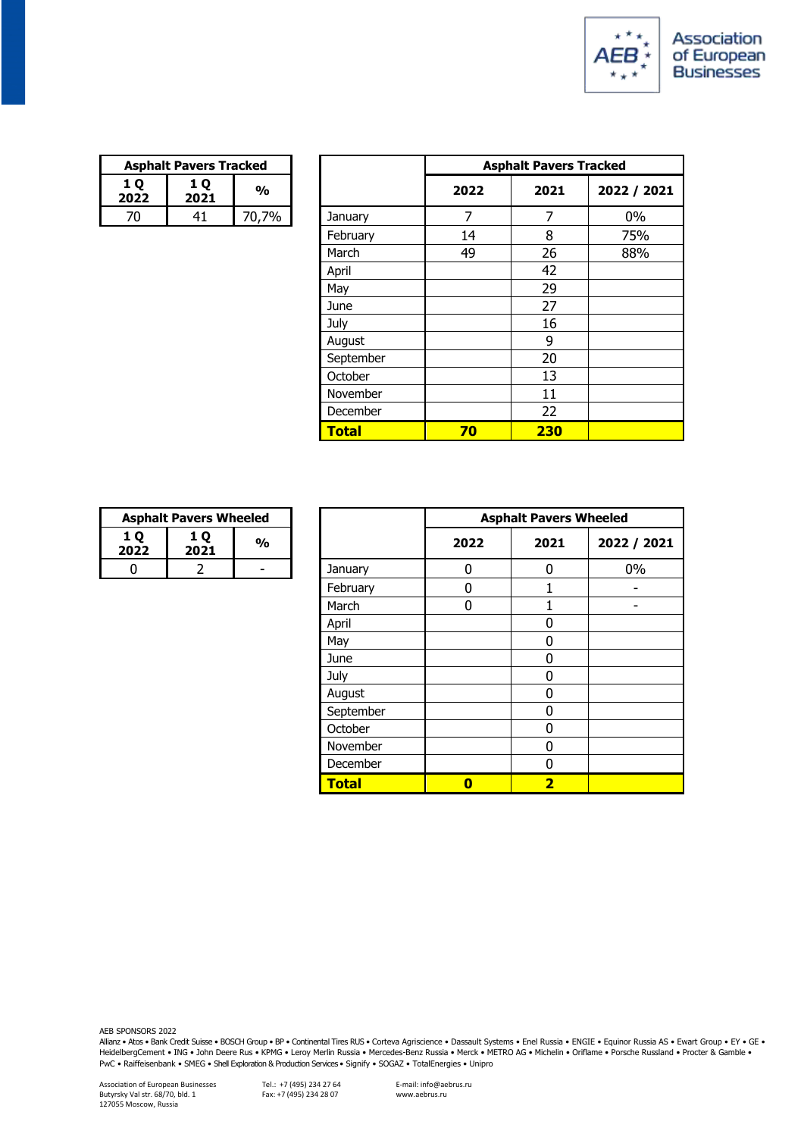

| <b>Asphalt Pavers Tracked</b> |             |       |  |
|-------------------------------|-------------|-------|--|
| 1 O<br>2022                   | 1 O<br>2021 | %     |  |
|                               | 41          | 70.7% |  |

|            | <b>Asphalt Pavers Tracked</b> |               |              |      | <b>Asphalt Pavers Tracked</b> |             |  |  |
|------------|-------------------------------|---------------|--------------|------|-------------------------------|-------------|--|--|
| 1 Q<br>022 | 1 Q<br>2021                   | $\frac{0}{0}$ |              | 2022 | 2021                          | 2022 / 2021 |  |  |
| 70         | 41                            | 70,7%         | January      | 7    | 7                             | $0\%$       |  |  |
|            |                               |               | February     | 14   | 8                             | 75%         |  |  |
|            |                               |               | March        | 49   | 26                            | 88%         |  |  |
|            |                               |               | April        |      | 42                            |             |  |  |
|            |                               |               | May          |      | 29                            |             |  |  |
|            |                               |               | June         |      | 27                            |             |  |  |
|            |                               |               | July         |      | 16                            |             |  |  |
|            |                               |               | August       |      | 9                             |             |  |  |
|            |                               |               | September    |      | 20                            |             |  |  |
|            |                               |               | October      |      | 13                            |             |  |  |
|            |                               |               | November     |      | 11                            |             |  |  |
|            |                               |               | December     |      | 22                            |             |  |  |
|            |                               |               | <b>Total</b> | 70   | 230                           |             |  |  |

| <b>Asphalt Pavers Wheeled</b> |  |   |  |
|-------------------------------|--|---|--|
| 1 O<br>1 O<br>2021<br>2022    |  | % |  |
|                               |  |   |  |

|                | <b>Asphalt Pavers Wheeled</b> |               |              |                         | <b>Asphalt Pavers Wheeled</b> |             |
|----------------|-------------------------------|---------------|--------------|-------------------------|-------------------------------|-------------|
| 1Q<br>2022     | 1 Q<br>2021                   | $\frac{1}{2}$ |              | 2022                    | 2021                          | 2022 / 2021 |
| $\overline{0}$ | 2                             | -             | January      | 0                       | 0                             | 0%          |
|                |                               |               | February     | 0                       |                               |             |
|                |                               |               | March        | 0                       |                               |             |
|                |                               |               | April        |                         | 0                             |             |
|                |                               |               | May          |                         | 0                             |             |
|                |                               |               | June         |                         | 0                             |             |
|                |                               |               | July         |                         | $\Omega$                      |             |
|                |                               |               | August       |                         | 0                             |             |
|                |                               |               | September    |                         | 0                             |             |
|                |                               |               | October      |                         | 0                             |             |
|                |                               |               | November     |                         | 0                             |             |
|                |                               |               | December     |                         | $\Omega$                      |             |
|                |                               |               | <b>Total</b> | $\overline{\mathbf{0}}$ | $\overline{\mathbf{2}}$       |             |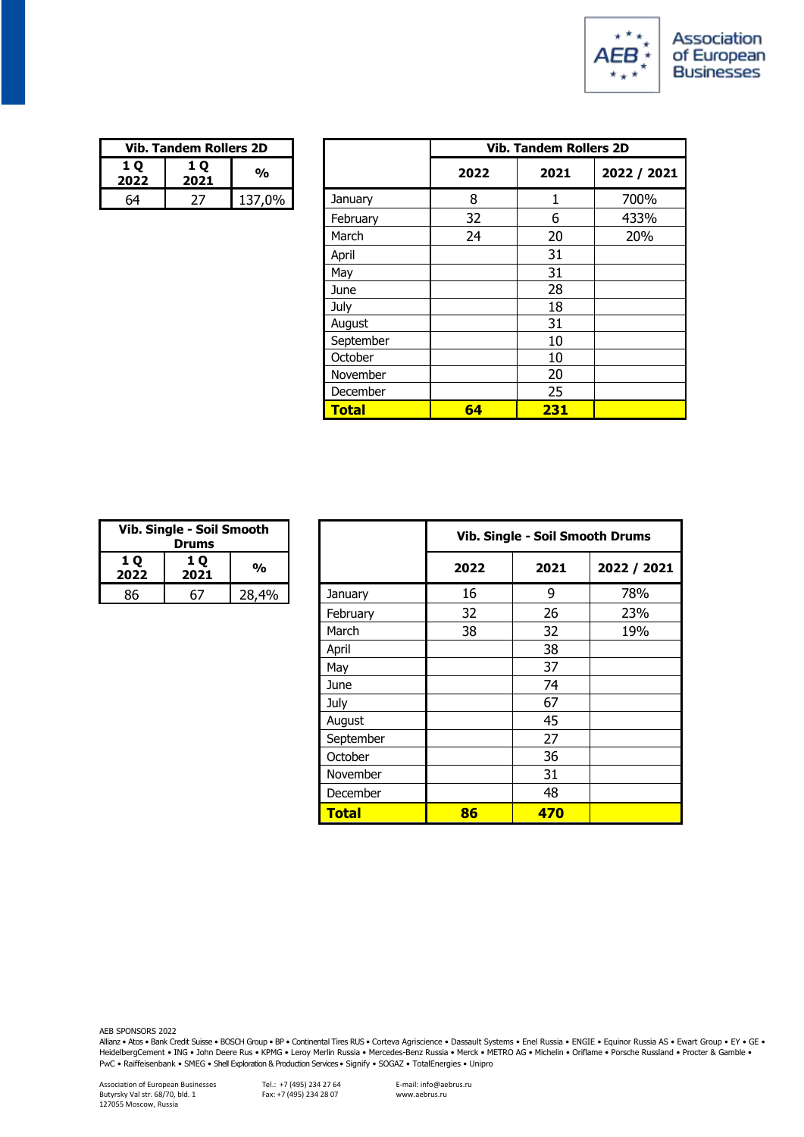

| <b>Vib. Tandem Rollers 2D</b> |    |        |  |
|-------------------------------|----|--------|--|
| 1 O<br>2022                   | %  |        |  |
| 64                            | 77 | 137,0% |  |

| <b>Vib. Tandem Rollers 2D</b> |             |               |              |                               |      |             |  |
|-------------------------------|-------------|---------------|--------------|-------------------------------|------|-------------|--|
|                               |             |               |              | <b>Vib. Tandem Rollers 2D</b> |      |             |  |
| LQ<br>022                     | 1 Q<br>2021 | $\frac{1}{2}$ |              | 2022                          | 2021 | 2022 / 2021 |  |
| 64                            | 27          | 137,0%        | January      | 8                             | 1    | 700%        |  |
|                               |             |               | February     | 32                            | 6    | 433%        |  |
|                               |             |               | March        | 24                            | 20   | 20%         |  |
|                               |             |               | April        |                               | 31   |             |  |
|                               |             |               | May          |                               | 31   |             |  |
|                               |             |               | June         |                               | 28   |             |  |
|                               |             |               | July         |                               | 18   |             |  |
|                               |             |               | August       |                               | 31   |             |  |
|                               |             |               | September    |                               | 10   |             |  |
|                               |             |               | October      |                               | 10   |             |  |
|                               |             |               | November     |                               | 20   |             |  |
|                               |             |               | December     |                               | 25   |             |  |
|                               |             |               | <b>Total</b> | 64                            | 231  |             |  |

| Vib. Single - Soil Smooth<br><b>Drums</b> |                   |       |  |
|-------------------------------------------|-------------------|-------|--|
| 1 O<br>2022                               | <b>10</b><br>2021 | %     |  |
| 86                                        | 'ת                | 28,4% |  |

|            | ib. Single - Soil Smooth<br><b>Drums</b> |               |              |      | Vib. Single - Soil Smooth Drums |             |  |
|------------|------------------------------------------|---------------|--------------|------|---------------------------------|-------------|--|
| L Q<br>022 | 1 Q<br>2021                              | $\frac{1}{2}$ |              | 2022 | 2021                            | 2022 / 2021 |  |
| 86         | 67                                       | 28,4%         | January      | 16   | 9                               | 78%         |  |
|            |                                          |               | February     | 32   | 26                              | 23%         |  |
|            |                                          |               | March        | 38   | 32                              | 19%         |  |
|            |                                          |               | April        |      | 38                              |             |  |
|            |                                          |               | May          |      | 37                              |             |  |
|            |                                          |               | June         |      | 74                              |             |  |
|            |                                          |               | July         |      | 67                              |             |  |
|            |                                          |               | August       |      | 45                              |             |  |
|            |                                          |               | September    |      | 27                              |             |  |
|            |                                          |               | October      |      | 36                              |             |  |
|            |                                          |               | November     |      | 31                              |             |  |
|            |                                          |               | December     |      | 48                              |             |  |
|            |                                          |               | <b>Total</b> | 86   | 470                             |             |  |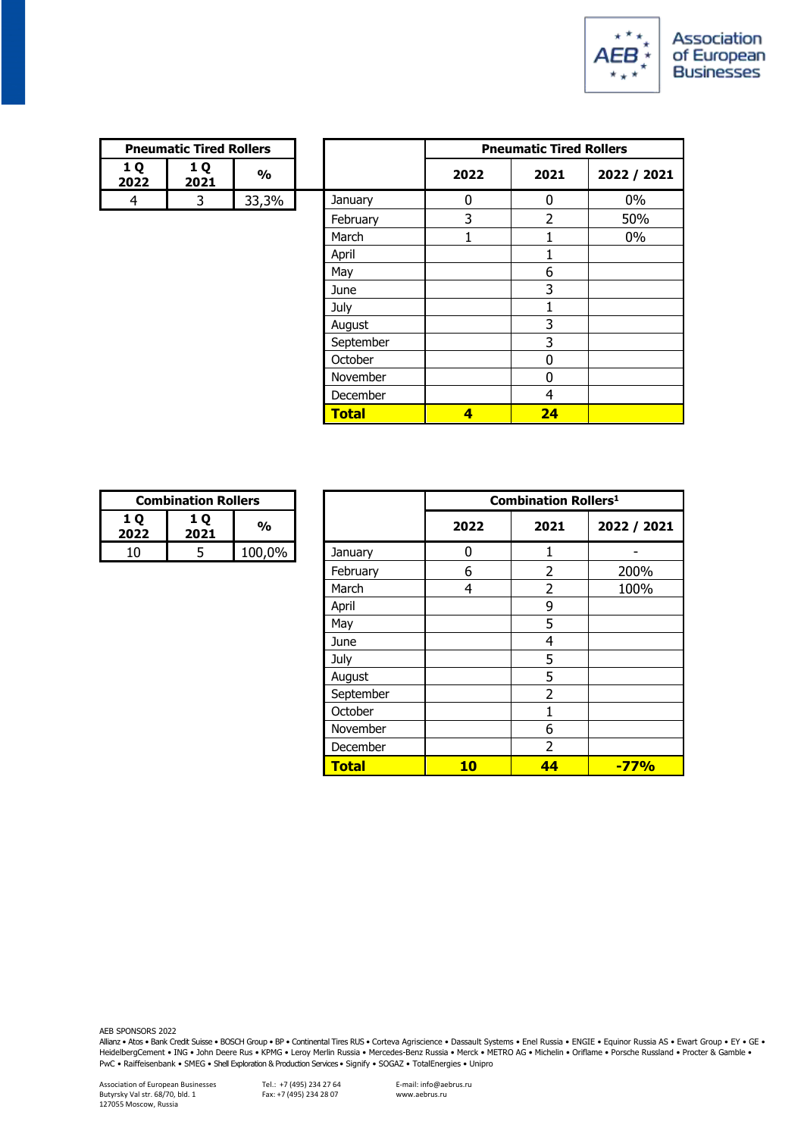

| <b>Pneumatic Tired Rollers</b>   |  |       |  |  |
|----------------------------------|--|-------|--|--|
| 1 O<br><b>10</b><br>2022<br>2021 |  | %     |  |  |
|                                  |  | 33.3% |  |  |

| <b>Pneumatic Tired Rollers</b> |             |               |              |                                |                |             |  |
|--------------------------------|-------------|---------------|--------------|--------------------------------|----------------|-------------|--|
|                                |             |               |              | <b>Pneumatic Tired Rollers</b> |                |             |  |
| 1 Q<br>022                     | 1 Q<br>2021 | $\frac{0}{0}$ |              | 2022                           | 2021           | 2022 / 2021 |  |
| $\overline{4}$                 | 3           | 33,3%         | January      | 0                              | 0              | $0\%$       |  |
|                                |             |               | February     | 3                              | $\overline{2}$ | 50%         |  |
|                                |             |               | March        |                                |                | $0\%$       |  |
|                                |             |               | April        |                                |                |             |  |
|                                |             |               | May          |                                | 6              |             |  |
|                                |             |               | June         |                                | 3              |             |  |
|                                |             |               | July         |                                |                |             |  |
|                                |             |               | August       |                                | 3              |             |  |
|                                |             |               | September    |                                | 3              |             |  |
|                                |             |               | October      |                                | 0              |             |  |
|                                |             |               | November     |                                | $\Omega$       |             |  |
|                                |             |               | December     |                                | 4              |             |  |
|                                |             |               | <b>Total</b> | $\overline{\mathbf{4}}$        | 24             |             |  |

| <b>Combination Rollers</b> |   |        |  |
|----------------------------|---|--------|--|
| <b>10</b><br>2022          | % |        |  |
|                            |   | 100,0% |  |

|           | <b>Combination Rollers</b> |               |              |      | <b>Combination Rollers<sup>1</sup></b> |             |
|-----------|----------------------------|---------------|--------------|------|----------------------------------------|-------------|
| LQ<br>022 | 1 Q<br>2021                | $\frac{1}{2}$ |              | 2022 | 2021                                   | 2022 / 2021 |
| 10        | 5                          | 100,0%        | January      | 0    |                                        |             |
|           |                            |               | February     | 6    | $\overline{2}$                         | 200%        |
|           |                            |               | March        | 4    | $\overline{2}$                         | 100%        |
|           |                            |               | April        |      | 9                                      |             |
|           |                            |               | May          |      | 5                                      |             |
|           |                            |               | June         |      | 4                                      |             |
|           |                            |               | July         |      | 5                                      |             |
|           |                            |               | August       |      | 5                                      |             |
|           |                            |               | September    |      | $\overline{2}$                         |             |
|           |                            |               | October      |      |                                        |             |
|           |                            |               | November     |      | 6                                      |             |
|           |                            |               | December     |      | $\overline{2}$                         |             |
|           |                            |               | <b>Total</b> | 10   | 44                                     | $-77%$      |